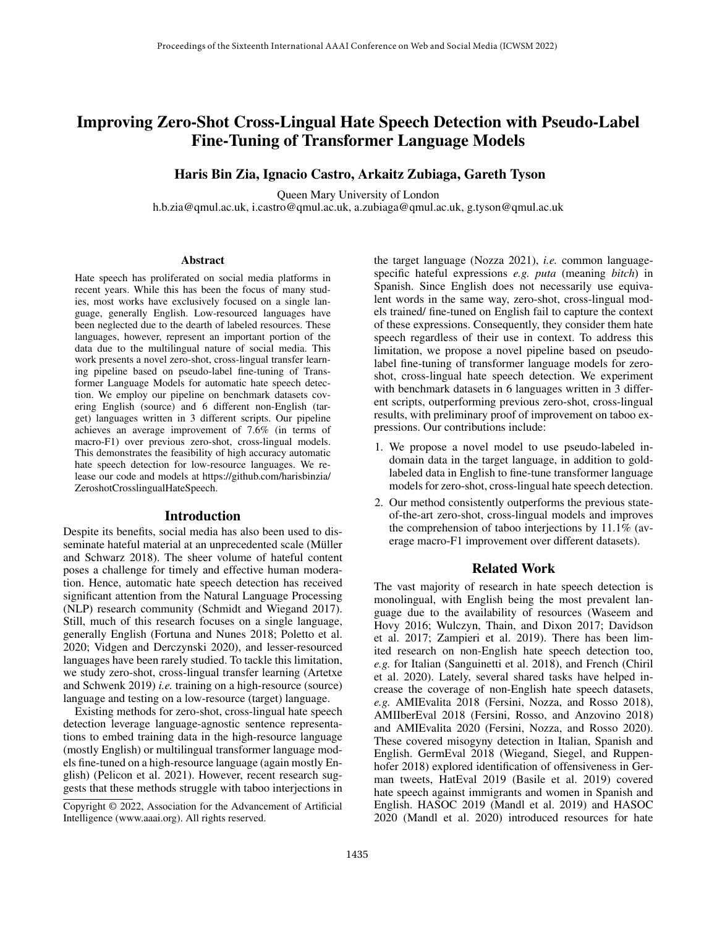# Improving Zero-Shot Cross-Lingual Hate Speech Detection with Pseudo-Label Fine-Tuning of Transformer Language Models

## Haris Bin Zia, Ignacio Castro, Arkaitz Zubiaga, Gareth Tyson

Queen Mary University of London h.b.zia@qmul.ac.uk, i.castro@qmul.ac.uk, a.zubiaga@qmul.ac.uk, g.tyson@qmul.ac.uk

#### Abstract

Hate speech has proliferated on social media platforms in recent years. While this has been the focus of many studies, most works have exclusively focused on a single language, generally English. Low-resourced languages have been neglected due to the dearth of labeled resources. These languages, however, represent an important portion of the data due to the multilingual nature of social media. This work presents a novel zero-shot, cross-lingual transfer learning pipeline based on pseudo-label fne-tuning of Transformer Language Models for automatic hate speech detection. We employ our pipeline on benchmark datasets covering English (source) and 6 different non-English (target) languages written in 3 different scripts. Our pipeline achieves an average improvement of 7.6% (in terms of macro-F1) over previous zero-shot, cross-lingual models. This demonstrates the feasibility of high accuracy automatic hate speech detection for low-resource languages. We release our code and models at https://github.com/harisbinzia/ ZeroshotCrosslingualHateSpeech.

# Introduction

Despite its benefts, social media has also been used to disseminate hateful material at an unprecedented scale (Müller and Schwarz 2018). The sheer volume of hateful content poses a challenge for timely and effective human moderation. Hence, automatic hate speech detection has received signifcant attention from the Natural Language Processing (NLP) research community (Schmidt and Wiegand 2017). Still, much of this research focuses on a single language, generally English (Fortuna and Nunes 2018; Poletto et al. 2020; Vidgen and Derczynski 2020), and lesser-resourced languages have been rarely studied. To tackle this limitation, we study zero-shot, cross-lingual transfer learning (Artetxe and Schwenk 2019) *i.e.* training on a high-resource (source) language and testing on a low-resource (target) language.

Existing methods for zero-shot, cross-lingual hate speech detection leverage language-agnostic sentence representations to embed training data in the high-resource language (mostly English) or multilingual transformer language models fne-tuned on a high-resource language (again mostly English) (Pelicon et al. 2021). However, recent research suggests that these methods struggle with taboo interjections in

the target language (Nozza 2021), *i.e.* common languagespecifc hateful expressions *e.g. puta* (meaning *bitch*) in Spanish. Since English does not necessarily use equivalent words in the same way, zero-shot, cross-lingual models trained/ fne-tuned on English fail to capture the context of these expressions. Consequently, they consider them hate speech regardless of their use in context. To address this limitation, we propose a novel pipeline based on pseudolabel fne-tuning of transformer language models for zeroshot, cross-lingual hate speech detection. We experiment with benchmark datasets in 6 languages written in 3 different scripts, outperforming previous zero-shot, cross-lingual results, with preliminary proof of improvement on taboo expressions. Our contributions include:

- 1. We propose a novel model to use pseudo-labeled indomain data in the target language, in addition to goldlabeled data in English to fne-tune transformer language models for zero-shot, cross-lingual hate speech detection.
- 2. Our method consistently outperforms the previous stateof-the-art zero-shot, cross-lingual models and improves the comprehension of taboo interjections by 11.1% (average macro-F1 improvement over different datasets).

## Related Work

The vast majority of research in hate speech detection is monolingual, with English being the most prevalent language due to the availability of resources (Waseem and Hovy 2016; Wulczyn, Thain, and Dixon 2017; Davidson et al. 2017; Zampieri et al. 2019). There has been limited research on non-English hate speech detection too, *e.g.* for Italian (Sanguinetti et al. 2018), and French (Chiril et al. 2020). Lately, several shared tasks have helped increase the coverage of non-English hate speech datasets, *e.g.* AMIEvalita 2018 (Fersini, Nozza, and Rosso 2018), AMIIberEval 2018 (Fersini, Rosso, and Anzovino 2018) and AMIEvalita 2020 (Fersini, Nozza, and Rosso 2020). These covered misogyny detection in Italian, Spanish and English. GermEval 2018 (Wiegand, Siegel, and Ruppenhofer 2018) explored identifcation of offensiveness in German tweets, HatEval 2019 (Basile et al. 2019) covered hate speech against immigrants and women in Spanish and English. HASOC 2019 (Mandl et al. 2019) and HASOC 2020 (Mandl et al. 2020) introduced resources for hate

Copyright © 2022, Association for the Advancement of Artifcial Intelligence (www.aaai.org). All rights reserved.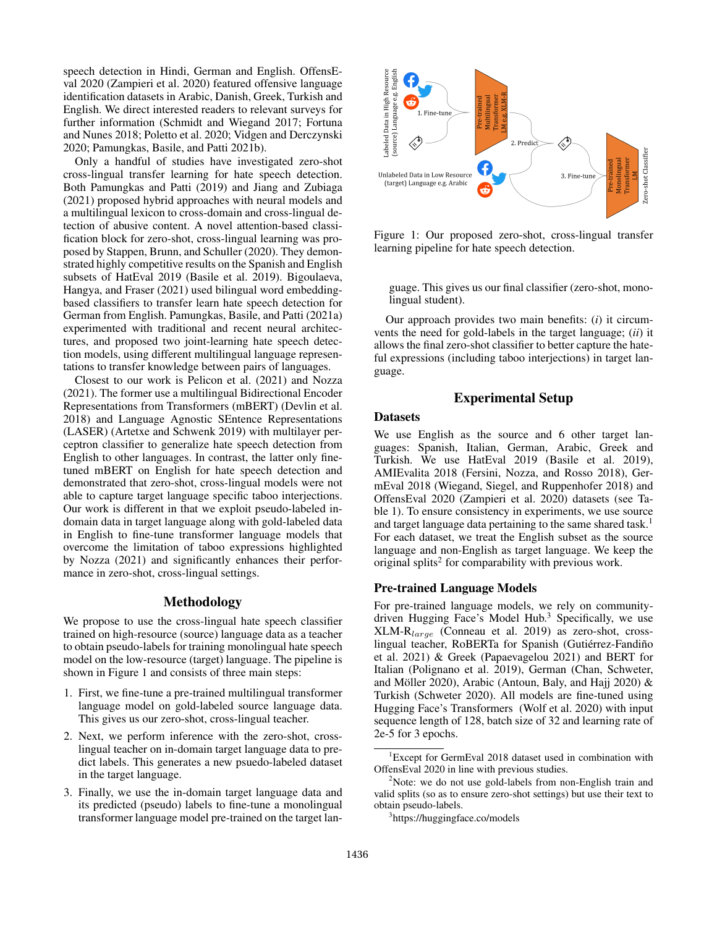speech detection in Hindi, German and English. OffensEval 2020 (Zampieri et al. 2020) featured offensive language identifcation datasets in Arabic, Danish, Greek, Turkish and English. We direct interested readers to relevant surveys for further information (Schmidt and Wiegand 2017; Fortuna and Nunes 2018; Poletto et al. 2020; Vidgen and Derczynski 2020; Pamungkas, Basile, and Patti 2021b).

Only a handful of studies have investigated zero-shot cross-lingual transfer learning for hate speech detection. Both Pamungkas and Patti (2019) and Jiang and Zubiaga (2021) proposed hybrid approaches with neural models and a multilingual lexicon to cross-domain and cross-lingual detection of abusive content. A novel attention-based classifcation block for zero-shot, cross-lingual learning was proposed by Stappen, Brunn, and Schuller (2020). They demonstrated highly competitive results on the Spanish and English subsets of HatEval 2019 (Basile et al. 2019). Bigoulaeva, Hangya, and Fraser (2021) used bilingual word embeddingbased classifers to transfer learn hate speech detection for German from English. Pamungkas, Basile, and Patti (2021a) experimented with traditional and recent neural architectures, and proposed two joint-learning hate speech detection models, using different multilingual language representations to transfer knowledge between pairs of languages.

Closest to our work is Pelicon et al. (2021) and Nozza (2021). The former use a multilingual Bidirectional Encoder Representations from Transformers (mBERT) (Devlin et al. 2018) and Language Agnostic SEntence Representations (LASER) (Artetxe and Schwenk 2019) with multilayer perceptron classifer to generalize hate speech detection from English to other languages. In contrast, the latter only fnetuned mBERT on English for hate speech detection and demonstrated that zero-shot, cross-lingual models were not able to capture target language specifc taboo interjections. Our work is different in that we exploit pseudo-labeled indomain data in target language along with gold-labeled data in English to fne-tune transformer language models that overcome the limitation of taboo expressions highlighted by Nozza (2021) and signifcantly enhances their performance in zero-shot, cross-lingual settings.

# Methodology

We propose to use the cross-lingual hate speech classifer trained on high-resource (source) language data as a teacher to obtain pseudo-labels for training monolingual hate speech model on the low-resource (target) language. The pipeline is shown in Figure 1 and consists of three main steps:

- 1. First, we fne-tune a pre-trained multilingual transformer language model on gold-labeled source language data. This gives us our zero-shot, cross-lingual teacher.
- 2. Next, we perform inference with the zero-shot, crosslingual teacher on in-domain target language data to predict labels. This generates a new psuedo-labeled dataset in the target language.
- 3. Finally, we use the in-domain target language data and its predicted (pseudo) labels to fne-tune a monolingual transformer language model pre-trained on the target lan-



Figure 1: Our proposed zero-shot, cross-lingual transfer learning pipeline for hate speech detection.

guage. This gives us our fnal classifer (zero-shot, monolingual student).

Our approach provides two main benefts: (*i*) it circumvents the need for gold-labels in the target language; (*ii*) it allows the fnal zero-shot classifer to better capture the hateful expressions (including taboo interjections) in target language.

# Experimental Setup

#### Datasets

We use English as the source and 6 other target languages: Spanish, Italian, German, Arabic, Greek and Turkish. We use HatEval 2019 (Basile et al. 2019), AMIEvalita 2018 (Fersini, Nozza, and Rosso 2018), GermEval 2018 (Wiegand, Siegel, and Ruppenhofer 2018) and OffensEval 2020 (Zampieri et al. 2020) datasets (see Table 1). To ensure consistency in experiments, we use source and target language data pertaining to the same shared task.<sup>1</sup> For each dataset, we treat the English subset as the source language and non-English as target language. We keep the original splits<sup>2</sup> for comparability with previous work.

### Pre-trained Language Models

For pre-trained language models, we rely on communitydriven Hugging Face's Model Hub.<sup>3</sup> Specifically, we use XLM-Rlarge (Conneau et al. 2019) as zero-shot, crosslingual teacher, RoBERTa for Spanish (Gutiérrez-Fandiño et al. 2021) & Greek (Papaevagelou 2021) and BERT for Italian (Polignano et al. 2019), German (Chan, Schweter, and Möller 2020), Arabic (Antoun, Baly, and Hajj 2020)  $&$ Turkish (Schweter 2020). All models are fne-tuned using Hugging Face's Transformers (Wolf et al. 2020) with input sequence length of 128, batch size of 32 and learning rate of 2e-5 for 3 epochs.

<sup>&</sup>lt;sup>1</sup>Except for GermEval 2018 dataset used in combination with OffensEval 2020 in line with previous studies.

 $2$ Note: we do not use gold-labels from non-English train and valid splits (so as to ensure zero-shot settings) but use their text to obtain pseudo-labels.

<sup>3</sup> https://huggingface.co/models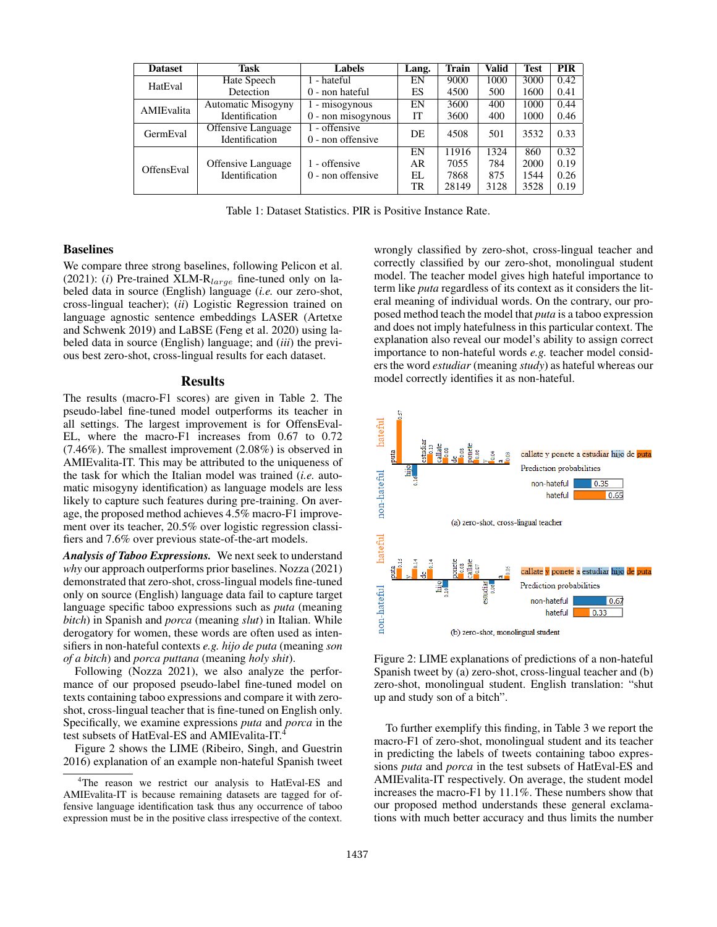| <b>Dataset</b>    | <b>Task</b>                          | <b>Labels</b>                        | Lang.     | <b>Train</b> | Valid | <b>Test</b> | <b>PIR</b> |
|-------------------|--------------------------------------|--------------------------------------|-----------|--------------|-------|-------------|------------|
| HatEval           | Hate Speech                          | - hateful                            | EN        | 9000         | 1000  | 3000        | 0.42       |
|                   | Detection                            | $0$ - non hateful                    | ES        | 4500         | 500   | 1600        | 0.41       |
| AMIEvalita        | Automatic Misogyny                   | - misogynous                         | EN        | 3600         | 400   | 1000        | 0.44       |
|                   | <b>Identification</b>                | 0 - non misogynous                   | <b>IT</b> | 3600         | 400   | 1000        | 0.46       |
| GermEval          | Offensive Language<br>Identification | 1 - offensive<br>$0$ - non offensive | DE        | 4508         | 501   | 3532        | 0.33       |
|                   |                                      |                                      | EN        | 11916        | 1324  | 860         | 0.32       |
| <b>OffensEval</b> | <b>Offensive Language</b>            | 1 - offensive                        | AR        | 7055         | 784   | 2000        | 0.19       |
|                   | <b>Identification</b>                | $0$ - non offensive                  | EL.       | 7868         | 875   | 1544        | 0.26       |
|                   |                                      |                                      | TR        | 28149        | 3128  | 3528        | 0.19       |

Table 1: Dataset Statistics. PIR is Positive Instance Rate.

#### Baselines

We compare three strong baselines, following Pelicon et al. (2021): ( $i$ ) Pre-trained XLM-R<sub>large</sub> fine-tuned only on labeled data in source (English) language (*i.e.* our zero-shot, cross-lingual teacher); (*ii*) Logistic Regression trained on language agnostic sentence embeddings LASER (Artetxe and Schwenk 2019) and LaBSE (Feng et al. 2020) using labeled data in source (English) language; and (*iii*) the previous best zero-shot, cross-lingual results for each dataset.

#### Results

The results (macro-F1 scores) are given in Table 2. The pseudo-label fne-tuned model outperforms its teacher in all settings. The largest improvement is for OffensEval-EL, where the macro-F1 increases from 0.67 to 0.72 (7.46%). The smallest improvement (2.08%) is observed in AMIEvalita-IT. This may be attributed to the uniqueness of the task for which the Italian model was trained (*i.e.* automatic misogyny identifcation) as language models are less likely to capture such features during pre-training. On average, the proposed method achieves 4.5% macro-F1 improvement over its teacher, 20.5% over logistic regression classifers and 7.6% over previous state-of-the-art models.

*Analysis of Taboo Expressions.* We next seek to understand *why* our approach outperforms prior baselines. Nozza (2021) demonstrated that zero-shot, cross-lingual models fne-tuned only on source (English) language data fail to capture target language specifc taboo expressions such as *puta* (meaning *bitch*) in Spanish and *porca* (meaning *slut*) in Italian. While derogatory for women, these words are often used as intensifers in non-hateful contexts *e.g. hijo de puta* (meaning *son of a bitch*) and *porca puttana* (meaning *holy shit*).

Following (Nozza 2021), we also analyze the performance of our proposed pseudo-label fne-tuned model on texts containing taboo expressions and compare it with zeroshot, cross-lingual teacher that is fne-tuned on English only. Specifcally, we examine expressions *puta* and *porca* in the test subsets of HatEval-ES and AMIEvalita-IT.4

Figure 2 shows the LIME (Ribeiro, Singh, and Guestrin 2016) explanation of an example non-hateful Spanish tweet

wrongly classifed by zero-shot, cross-lingual teacher and correctly classifed by our zero-shot, monolingual student model. The teacher model gives high hateful importance to term like *puta* regardless of its context as it considers the literal meaning of individual words. On the contrary, our proposed method teach the model that *puta* is a taboo expression and does not imply hatefulness in this particular context. The explanation also reveal our model's ability to assign correct importance to non-hateful words *e.g.* teacher model considers the word *estudiar* (meaning *study*) as hateful whereas our model correctly identifes it as non-hateful.



Figure 2: LIME explanations of predictions of a non-hateful Spanish tweet by (a) zero-shot, cross-lingual teacher and (b) zero-shot, monolingual student. English translation: "shut up and study son of a bitch".

To further exemplify this fnding, in Table 3 we report the macro-F1 of zero-shot, monolingual student and its teacher in predicting the labels of tweets containing taboo expressions *puta* and *porca* in the test subsets of HatEval-ES and AMIEvalita-IT respectively. On average, the student model increases the macro-F1 by 11.1%. These numbers show that our proposed method understands these general exclamations with much better accuracy and thus limits the number

<sup>&</sup>lt;sup>4</sup>The reason we restrict our analysis to HatEval-ES and AMIEvalita-IT is because remaining datasets are tagged for offensive language identifcation task thus any occurrence of taboo expression must be in the positive class irrespective of the context.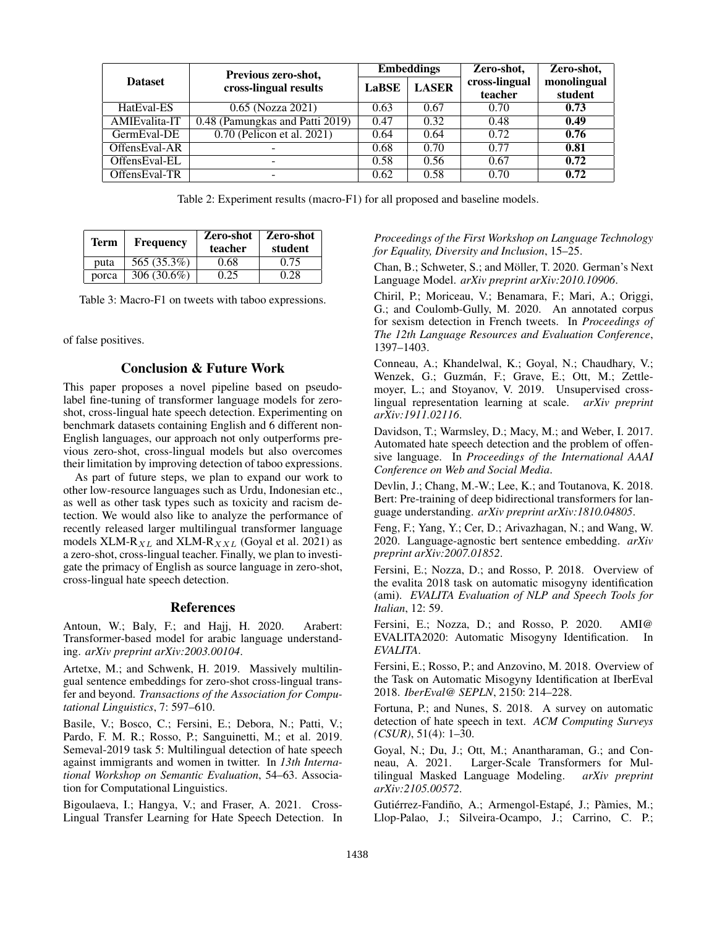|                | Previous zero-shot,             | <b>Embeddings</b> |              | Zero-shot,               | Zero-shot,             |
|----------------|---------------------------------|-------------------|--------------|--------------------------|------------------------|
| <b>Dataset</b> | cross-lingual results           | <b>LaBSE</b>      | <b>LASER</b> | cross-lingual<br>teacher | monolingual<br>student |
| HatEval-ES     | 0.65 (Nozza 2021)               | 0.63              | 0.67         | 0.70                     | 0.73                   |
| AMIEvalita-IT  | 0.48 (Pamungkas and Patti 2019) | 0.47              | 0.32         | 0.48                     | 0.49                   |
| GermEval-DE    | 0.70 (Pelicon et al. 2021)      | 0.64              | 0.64         | 0.72                     | 0.76                   |
| OffensEval-AR  |                                 | 0.68              | 0.70         | 0.77                     | 0.81                   |
| OffensEval-EL  | -                               | 0.58              | 0.56         | 0.67                     | 0.72                   |
| OffensEval-TR  |                                 | 0.62              | 0.58         | 0.70                     | 0.72                   |

Table 2: Experiment results (macro-F1) for all proposed and baseline models.

| Term  | <b>Frequency</b> | Zero-shot<br>teacher | Zero-shot<br>student |
|-------|------------------|----------------------|----------------------|
| puta  | 565 (35.3%)      | 0.68                 | 0.75                 |
| porca | 306 $(30.6\%)$   | 0.25                 | 0.28                 |

Table 3: Macro-F1 on tweets with taboo expressions.

of false positives.

## Conclusion & Future Work

This paper proposes a novel pipeline based on pseudolabel fne-tuning of transformer language models for zeroshot, cross-lingual hate speech detection. Experimenting on benchmark datasets containing English and 6 different non-English languages, our approach not only outperforms previous zero-shot, cross-lingual models but also overcomes their limitation by improving detection of taboo expressions.

As part of future steps, we plan to expand our work to other low-resource languages such as Urdu, Indonesian etc., as well as other task types such as toxicity and racism detection. We would also like to analyze the performance of recently released larger multilingual transformer language models XLM- $R_{XL}$  and XLM- $R_{XXL}$  (Goyal et al. 2021) as a zero-shot, cross-lingual teacher. Finally, we plan to investigate the primacy of English as source language in zero-shot, cross-lingual hate speech detection.

#### References

Antoun, W.; Baly, F.; and Hajj, H. 2020. Arabert: Transformer-based model for arabic language understanding. *arXiv preprint arXiv:2003.00104*.

Artetxe, M.; and Schwenk, H. 2019. Massively multilingual sentence embeddings for zero-shot cross-lingual transfer and beyond. *Transactions of the Association for Computational Linguistics*, 7: 597–610.

Basile, V.; Bosco, C.; Fersini, E.; Debora, N.; Patti, V.; Pardo, F. M. R.; Rosso, P.; Sanguinetti, M.; et al. 2019. Semeval-2019 task 5: Multilingual detection of hate speech against immigrants and women in twitter. In *13th International Workshop on Semantic Evaluation*, 54–63. Association for Computational Linguistics.

Bigoulaeva, I.; Hangya, V.; and Fraser, A. 2021. Cross-Lingual Transfer Learning for Hate Speech Detection. In *Proceedings of the First Workshop on Language Technology for Equality, Diversity and Inclusion*, 15–25.

Chan, B.; Schweter, S.; and Möller, T. 2020. German's Next Language Model. *arXiv preprint arXiv:2010.10906*.

Chiril, P.; Moriceau, V.; Benamara, F.; Mari, A.; Origgi, G.; and Coulomb-Gully, M. 2020. An annotated corpus for sexism detection in French tweets. In *Proceedings of The 12th Language Resources and Evaluation Conference*, 1397–1403.

Conneau, A.; Khandelwal, K.; Goyal, N.; Chaudhary, V.; Wenzek, G.; Guzmán, F.; Grave, E.; Ott, M.; Zettlemoyer, L.; and Stoyanov, V. 2019. Unsupervised crosslingual representation learning at scale. *arXiv preprint arXiv:1911.02116*.

Davidson, T.; Warmsley, D.; Macy, M.; and Weber, I. 2017. Automated hate speech detection and the problem of offensive language. In *Proceedings of the International AAAI Conference on Web and Social Media*.

Devlin, J.; Chang, M.-W.; Lee, K.; and Toutanova, K. 2018. Bert: Pre-training of deep bidirectional transformers for language understanding. *arXiv preprint arXiv:1810.04805*.

Feng, F.; Yang, Y.; Cer, D.; Arivazhagan, N.; and Wang, W. 2020. Language-agnostic bert sentence embedding. *arXiv preprint arXiv:2007.01852*.

Fersini, E.; Nozza, D.; and Rosso, P. 2018. Overview of the evalita 2018 task on automatic misogyny identifcation (ami). *EVALITA Evaluation of NLP and Speech Tools for Italian*, 12: 59.

Fersini, E.; Nozza, D.; and Rosso, P. 2020. AMI@ EVALITA2020: Automatic Misogyny Identifcation. In *EVALITA*.

Fersini, E.; Rosso, P.; and Anzovino, M. 2018. Overview of the Task on Automatic Misogyny Identifcation at IberEval 2018. *IberEval@ SEPLN*, 2150: 214–228.

Fortuna, P.; and Nunes, S. 2018. A survey on automatic detection of hate speech in text. *ACM Computing Surveys (CSUR)*, 51(4): 1–30.

Goyal, N.; Du, J.; Ott, M.; Anantharaman, G.; and Conneau, A. 2021. Larger-Scale Transformers for Multilingual Masked Language Modeling. *arXiv preprint arXiv:2105.00572*.

Gutiérrez-Fandiño, A.; Armengol-Estapé, J.; Pàmies, M.; Llop-Palao, J.; Silveira-Ocampo, J.; Carrino, C. P.;